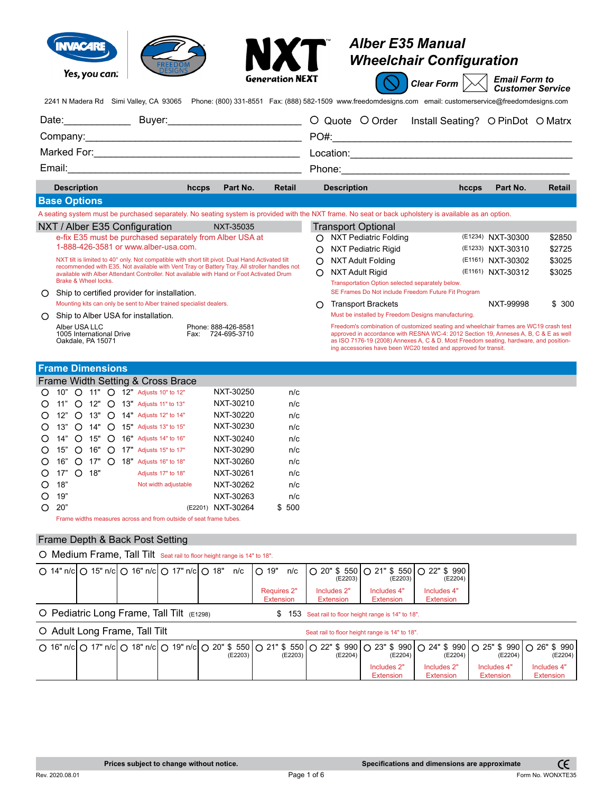|   | Yes, you can:<br>2241 N Madera Rd Simi Valley, CA 93065 Phone: (800) 331-8551 Fax: (888) 582-1509 www.freedomdesigns.com email: customerservice@freedomdesigns.com                              |       |                                          | NXT<br><b>Generation NEXT</b> |   |                                                     | <b>Alber E35 Manual</b><br><b>Wheelchair Configuration</b><br>Clear Form                                                                                                                                                                                                                                                                  | <b>Email Form to</b> | <b>Customer Service</b> |
|---|-------------------------------------------------------------------------------------------------------------------------------------------------------------------------------------------------|-------|------------------------------------------|-------------------------------|---|-----------------------------------------------------|-------------------------------------------------------------------------------------------------------------------------------------------------------------------------------------------------------------------------------------------------------------------------------------------------------------------------------------------|----------------------|-------------------------|
|   | Date: Buyer: Buyer: C Quote O Order                                                                                                                                                             |       |                                          |                               |   |                                                     | Install Seating? O PinDot O Matrx                                                                                                                                                                                                                                                                                                         |                      |                         |
|   |                                                                                                                                                                                                 |       |                                          |                               |   |                                                     |                                                                                                                                                                                                                                                                                                                                           |                      |                         |
|   |                                                                                                                                                                                                 |       |                                          |                               |   |                                                     |                                                                                                                                                                                                                                                                                                                                           |                      |                         |
|   |                                                                                                                                                                                                 |       |                                          |                               |   |                                                     |                                                                                                                                                                                                                                                                                                                                           |                      |                         |
|   |                                                                                                                                                                                                 |       |                                          |                               |   |                                                     |                                                                                                                                                                                                                                                                                                                                           |                      |                         |
|   | <b>Description</b>                                                                                                                                                                              | hccps | Part No.                                 | Retail                        |   | <b>Description</b>                                  | hccps                                                                                                                                                                                                                                                                                                                                     | Part No.             | <b>Retail</b>           |
|   | <b>Base Options</b>                                                                                                                                                                             |       |                                          |                               |   |                                                     |                                                                                                                                                                                                                                                                                                                                           |                      |                         |
|   | A seating system must be purchased separately. No seating system is provided with the NXT frame. No seat or back upholstery is available as an option.                                          |       |                                          |                               |   |                                                     |                                                                                                                                                                                                                                                                                                                                           |                      |                         |
|   | NXT / Alber E35 Configuration                                                                                                                                                                   |       | NXT-35035                                |                               |   | <b>Transport Optional</b>                           |                                                                                                                                                                                                                                                                                                                                           |                      |                         |
|   | e-fix E35 must be purchased separately from Alber USA at                                                                                                                                        |       |                                          |                               |   | O NXT Pediatric Folding                             |                                                                                                                                                                                                                                                                                                                                           | (E1234) NXT-30300    | \$2850                  |
|   | 1-888-426-3581 or www.alber-usa.com.                                                                                                                                                            |       |                                          |                               |   | <b>NXT Pediatric Rigid</b>                          |                                                                                                                                                                                                                                                                                                                                           | (E1233) NXT-30310    | \$2725                  |
|   | NXT tilt is limited to 40° only. Not compatible with short tilt pivot. Dual Hand Activated tilt<br>recommended with E35. Not available with Vent Tray or Battery Tray. All stroller handles not |       |                                          |                               | ∩ | NXT Adult Folding                                   |                                                                                                                                                                                                                                                                                                                                           | (E1161) NXT-30302    | \$3025                  |
|   | available with Alber Attendant Controller. Not available with Hand or Foot Activated Drum                                                                                                       |       |                                          |                               | ∩ | <b>NXT Adult Rigid</b>                              |                                                                                                                                                                                                                                                                                                                                           | (E1161) NXT-30312    | \$3025                  |
|   | Brake & Wheel locks.                                                                                                                                                                            |       |                                          |                               |   | Transportation Option selected separately below.    |                                                                                                                                                                                                                                                                                                                                           |                      |                         |
| ∩ | Ship to certified provider for installation.                                                                                                                                                    |       |                                          |                               |   | SE Frames Do Not include Freedom Future Fit Program |                                                                                                                                                                                                                                                                                                                                           |                      |                         |
|   | Mounting kits can only be sent to Alber trained specialist dealers.                                                                                                                             |       |                                          |                               | O | <b>Transport Brackets</b>                           |                                                                                                                                                                                                                                                                                                                                           | NXT-99998            | \$300                   |
| ∩ | Ship to Alber USA for installation.                                                                                                                                                             |       |                                          |                               |   | Must be installed by Freedom Designs manufacturing. |                                                                                                                                                                                                                                                                                                                                           |                      |                         |
|   | Alber USA LLC<br>1005 International Drive<br>Oakdale, PA 15071                                                                                                                                  |       | Phone: 888-426-8581<br>Fax: 724-695-3710 |                               |   |                                                     | Freedom's combination of customized seating and wheelchair frames are WC19 crash test<br>approved in accordance with RESNA WC-4: 2012 Section 19, Anneses A, B, C & E as well<br>as ISO 7176-19 (2008) Annexes A, C & D. Most Freedom seating, hardware, and position-<br>ing accessories have been WC20 tested and approved for transit. |                      |                         |
|   | <b>Frame Dimensions</b>                                                                                                                                                                         |       |                                          |                               |   |                                                     |                                                                                                                                                                                                                                                                                                                                           |                      |                         |
|   | Frame Width Setting & Cross Brace                                                                                                                                                               |       |                                          |                               |   |                                                     |                                                                                                                                                                                                                                                                                                                                           |                      |                         |
|   | 10" O 11" O 12" Adjusts 10" to 12"                                                                                                                                                              |       | NXT-30250                                | n/c                           |   |                                                     |                                                                                                                                                                                                                                                                                                                                           |                      |                         |
|   | $\bigcap$ 44" $\bigcap$ 49" $\bigcap$ 49" Adjusts 44" to 49"                                                                                                                                    |       | NIYT_30210                               | n/n                           |   |                                                     |                                                                                                                                                                                                                                                                                                                                           |                      |                         |

|          |     |                  |     |  | $\bigcup$ 10" $\bigcup$ 11" $\bigcup$ 12" Adjusts 10" to 12" | NX 1-30250        | n/c    |
|----------|-----|------------------|-----|--|--------------------------------------------------------------|-------------------|--------|
| ∩        |     |                  |     |  | 11" O 12" O 13" Adjusts 11" to 13"                           | NXT-30210         | n/c    |
| $\Omega$ |     |                  |     |  | 12" O 13" O 14" Adjusts 12" to 14"                           | NXT-30220         | n/c    |
|          |     |                  |     |  | ○ 13" ○ 14" ○ 15" Adjusts 13" to 15"                         | NXT-30230         | n/c    |
|          |     |                  |     |  | O 14" O 15" O 16" Adjusts 14" to 16"                         | NXT-30240         | n/c    |
| $\Omega$ | 15" |                  |     |  | ○ 16" ○ 17" Adjusts 15" to 17"                               | NXT-30290         | n/c    |
|          | 16" |                  |     |  | $\bigcirc$ 17" $\bigcirc$ 18" Adjusts 16" to 18"             | NXT-30260         | n/c    |
| O        | 17" | $\left( \right)$ | 18" |  | Adjusts 17" to 18"                                           | NXT-30261         | n/c    |
|          | 18" |                  |     |  | Not width adjustable                                         | NXT-30262         | n/c    |
| O        | 19" |                  |     |  |                                                              | NXT-30263         | n/c    |
|          | 20" |                  |     |  |                                                              | (E2201) NXT-30264 | \$ 500 |
|          |     |                  |     |  |                                                              |                   |        |

Frame widths measures across and from outside of seat frame tubes.

## Frame Depth & Back Post Setting

O Medium Frame, Tall Tilt Seat rail to floor height range is 14" to 18".

|                                                 |  |  |                                        | ○ 14" n/c  ○ 15" n/c  ○ 16" n/c  ○ 17" n/c  ○ 18" n/c   ○ 19" n/c   ○ 20" \$ 550   ○ 21" \$ 550   ○ 22" \$ 990  <br>(E2203) | (E2203)                  | (E2204)                         |
|-------------------------------------------------|--|--|----------------------------------------|-----------------------------------------------------------------------------------------------------------------------------|--------------------------|---------------------------------|
|                                                 |  |  | <b>Requires 2"</b><br><b>Extension</b> | Includes 2"<br>Extension                                                                                                    | Includes 4"<br>Extension | Includes 4"<br><b>Extension</b> |
| $\circ$ Pediatric Long Frame, Tall Tilt (E1298) |  |  |                                        | \$ 153 Seat rail to floor height range is 14" to 18".                                                                       |                          |                                 |

| O Adult Long Frame, Tall Tilt |  |  |  |  |         |  |         | Seat rail to floor height range is 14" to 18". |                          |                                                                                                                                                                 |                                 |                                 |  |  |
|-------------------------------|--|--|--|--|---------|--|---------|------------------------------------------------|--------------------------|-----------------------------------------------------------------------------------------------------------------------------------------------------------------|---------------------------------|---------------------------------|--|--|
|                               |  |  |  |  | (E2203) |  | (E2203) | (E2204)                                        | (E2204)                  | ○ 16" n/c  ○ 17" n/c  ○ 18" n/c  ○ 19" n/c  ○ 20" \$ 550   ○ 21" \$ 550   ○ 22" \$ 990   ○ 23" \$ 990   ○ 24" \$ 990   ○ 25" \$ 990   ○ 26" \$ 990  <br>(E2204) | (E2204)                         | (E2204)                         |  |  |
|                               |  |  |  |  |         |  |         |                                                | Includes 2"<br>Extension | Includes 2"<br><b>Extension</b>                                                                                                                                 | Includes 4"<br><b>Extension</b> | Includes 4"<br><b>Extension</b> |  |  |

Rev. 2020.08.01 **Page 1 of 6 Page 1 of 6 Page 1 of 6 Form No. WONXTE35**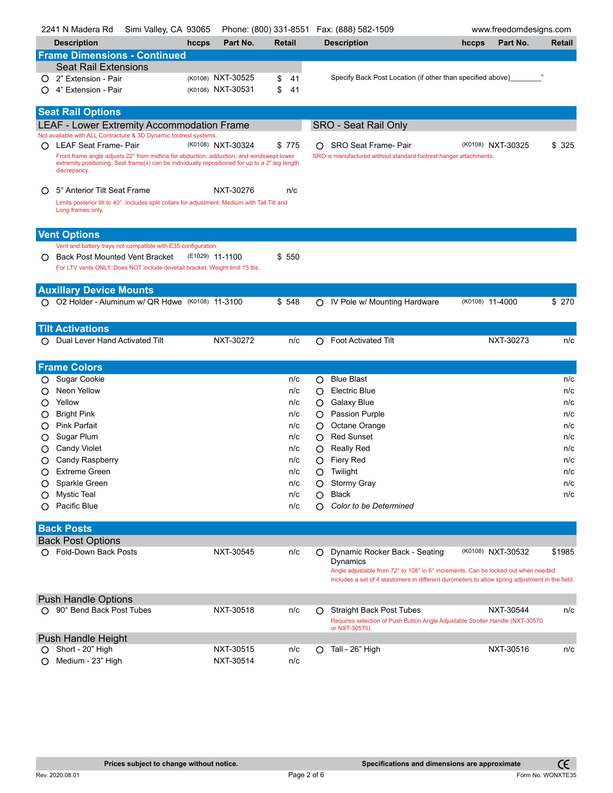|   | 2241 N Madera Rd                                                                                                      | Simi Valley, CA 93065 |                 |                   |          |   | Phone: (800) 331-8551  Fax: (888) 582-1509                                                      |       | www.freedomdesigns.com |        |
|---|-----------------------------------------------------------------------------------------------------------------------|-----------------------|-----------------|-------------------|----------|---|-------------------------------------------------------------------------------------------------|-------|------------------------|--------|
|   | <b>Description</b>                                                                                                    |                       | hccps           | Part No.          | Retail   |   | <b>Description</b>                                                                              | hccps | Part No.               | Retail |
|   | <b>Frame Dimensions - Continued</b>                                                                                   |                       |                 |                   |          |   |                                                                                                 |       |                        |        |
|   | <b>Seat Rail Extensions</b>                                                                                           |                       |                 |                   |          |   |                                                                                                 |       |                        |        |
|   | 2" Extension - Pair                                                                                                   |                       |                 | (K0108) NXT-30525 | \$<br>41 |   | Specify Back Post Location (if other than specified above)                                      |       |                        |        |
|   | 4" Extension - Pair                                                                                                   |                       |                 | (K0108) NXT-30531 | \$<br>41 |   |                                                                                                 |       |                        |        |
|   |                                                                                                                       |                       |                 |                   |          |   |                                                                                                 |       |                        |        |
|   | <b>Seat Rail Options</b>                                                                                              |                       |                 |                   |          |   |                                                                                                 |       |                        |        |
|   | <b>LEAF - Lower Extremity Accommodation Frame</b><br>Not available with ALL Contracture & 3D Dynamic footrest systems |                       |                 |                   |          |   | <b>SRO - Seat Rail Only</b>                                                                     |       |                        |        |
| O | LEAF Seat Frame- Pair                                                                                                 |                       |                 | (K0108) NXT-30324 | \$775    | O | SRO Seat Frame- Pair                                                                            |       | (K0108) NXT-30325      | \$ 325 |
|   | Front frame angle adjusts 22° from midline for abduction, adduction, and windswept lower                              |                       |                 |                   |          |   | SRO is manufactured without standard footrest hanger attachments.                               |       |                        |        |
|   | extremity positioning. Seat frame(s) can be individually repositioned for up to a 2" leg length<br>discrepancy.       |                       |                 |                   |          |   |                                                                                                 |       |                        |        |
|   |                                                                                                                       |                       |                 |                   |          |   |                                                                                                 |       |                        |        |
| O | 5° Anterior Tilt Seat Frame                                                                                           |                       |                 | NXT-30276         | n/c      |   |                                                                                                 |       |                        |        |
|   | Limits posterior tilt to 40°. Includes split collars for adjustment. Medium with Tall Tilt and<br>Long frames only.   |                       |                 |                   |          |   |                                                                                                 |       |                        |        |
|   |                                                                                                                       |                       |                 |                   |          |   |                                                                                                 |       |                        |        |
|   | <b>Vent Options</b>                                                                                                   |                       |                 |                   |          |   |                                                                                                 |       |                        |        |
|   | Vent and battery trays not compatible with E35 configuration.                                                         |                       |                 |                   |          |   |                                                                                                 |       |                        |        |
|   | <b>Back Post Mounted Vent Bracket</b>                                                                                 |                       | (E1029) 11-1100 |                   | \$ 550   |   |                                                                                                 |       |                        |        |
|   | For LTV vents ONLY. Does NOT include dovetail bracket. Weight limit 15 lbs.                                           |                       |                 |                   |          |   |                                                                                                 |       |                        |        |
|   |                                                                                                                       |                       |                 |                   |          |   |                                                                                                 |       |                        |        |
|   | <b>Auxillary Device Mounts</b><br>O O2 Holder - Aluminum w/ QR Hdwe (K0108) 11-3100                                   |                       |                 |                   | \$548    | O | IV Pole w/ Mounting Hardware                                                                    |       | (K0108) 11-4000        | \$ 270 |
|   |                                                                                                                       |                       |                 |                   |          |   |                                                                                                 |       |                        |        |
|   | <b>Tilt Activations</b>                                                                                               |                       |                 |                   |          |   |                                                                                                 |       |                        |        |
| ∩ | Dual Lever Hand Activated Tilt                                                                                        |                       |                 | NXT-30272         | n/c      | O | <b>Foot Activated Tilt</b>                                                                      |       | NXT-30273              | n/c    |
|   |                                                                                                                       |                       |                 |                   |          |   |                                                                                                 |       |                        |        |
|   | <b>Frame Colors</b>                                                                                                   |                       |                 |                   |          |   |                                                                                                 |       |                        |        |
| Ő | Sugar Cookie                                                                                                          |                       |                 |                   | n/c      | O | <b>Blue Blast</b>                                                                               |       |                        | n/c    |
| O | Neon Yellow                                                                                                           |                       |                 |                   | n/c      | O | Electric Blue                                                                                   |       |                        | n/c    |
| O | Yellow                                                                                                                |                       |                 |                   | n/c      | Ő | <b>Galaxy Blue</b>                                                                              |       |                        | n/c    |
| Ő | <b>Bright Pink</b>                                                                                                    |                       |                 |                   | n/c      | Ő | <b>Passion Purple</b>                                                                           |       |                        | n/c    |
| O | <b>Pink Parfait</b>                                                                                                   |                       |                 |                   | n/c      | O | Octane Orange                                                                                   |       |                        | n/c    |
| Ő | Sugar Plum                                                                                                            |                       |                 |                   | n/c      | O | <b>Red Sunset</b>                                                                               |       |                        | n/c    |
| O | <b>Candy Violet</b>                                                                                                   |                       |                 |                   | n/c      | O | <b>Really Red</b>                                                                               |       |                        | n/c    |
| O | Candy Raspberry                                                                                                       |                       |                 |                   | n/c      | О | Fiery Red                                                                                       |       |                        | n/c    |
| ∩ | <b>Extreme Green</b>                                                                                                  |                       |                 |                   | n/c      |   | O Twilight                                                                                      |       |                        | n/c    |
| Ő | Sparkle Green                                                                                                         |                       |                 |                   | n/c      | O | <b>Stormy Gray</b>                                                                              |       |                        | n/c    |
| Ő | <b>Mystic Teal</b>                                                                                                    |                       |                 |                   | n/c      | O | <b>Black</b>                                                                                    |       |                        | n/c    |
|   | Pacific Blue                                                                                                          |                       |                 |                   | n/c      | Ο | Color to be Determined                                                                          |       |                        |        |
|   |                                                                                                                       |                       |                 |                   |          |   |                                                                                                 |       |                        |        |
|   | <b>Back Posts</b><br><b>Back Post Options</b>                                                                         |                       |                 |                   |          |   |                                                                                                 |       |                        |        |
|   | ○ Fold-Down Back Posts                                                                                                |                       |                 | NXT-30545         | n/c      |   | Dynamic Rocker Back - Seating                                                                   |       | (K0108) NXT-30532      | \$1985 |
|   |                                                                                                                       |                       |                 |                   |          |   | Dynamics                                                                                        |       |                        |        |
|   |                                                                                                                       |                       |                 |                   |          |   | Angle adjustable from 72° to 108° in 6° increments. Can be locked-out when needed.              |       |                        |        |
|   |                                                                                                                       |                       |                 |                   |          |   | Includes a set of 4 elastomers in different durometers to allow spring adjustment in the field. |       |                        |        |
|   | <b>Push Handle Options</b>                                                                                            |                       |                 |                   |          |   |                                                                                                 |       |                        |        |
|   | ○ 90° Bend Back Post Tubes                                                                                            |                       |                 | NXT-30518         | n/c      | O | <b>Straight Back Post Tubes</b>                                                                 |       | NXT-30544              | n/c    |
|   |                                                                                                                       |                       |                 |                   |          |   | Requires selection of Push Button Angle Adjustable Stroller Handle (NXT-30570<br>or NXT-30575). |       |                        |        |
|   | Push Handle Height                                                                                                    |                       |                 |                   |          |   |                                                                                                 |       |                        |        |
| Ő | Short - 20" High                                                                                                      |                       |                 | NXT-30515         | n/c      | O | Tall - 26" High                                                                                 |       | NXT-30516              | n/c    |
|   | Medium - 23" High                                                                                                     |                       |                 | NXT-30514         | n/c      |   |                                                                                                 |       |                        |        |
|   |                                                                                                                       |                       |                 |                   |          |   |                                                                                                 |       |                        |        |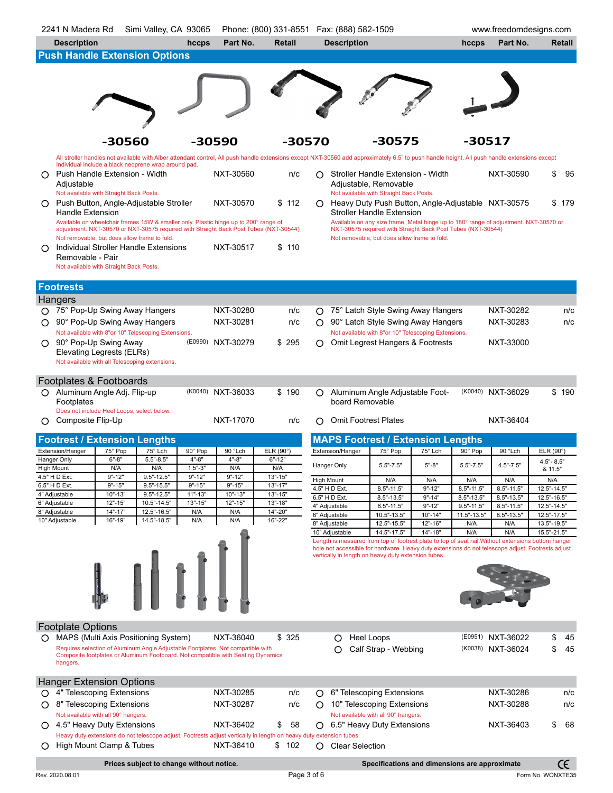|         | 2241 N Madera Rd                                             | Simi Valley, CA 93065                                                                                                                                                                        |                            |                            | Phone: (800) 331-8551  Fax: (888) 582-1509 |                   |                                |                                                              |                           |                             | www.freedomdesigns.com                                                                                                                                                                                   |                            |                   |
|---------|--------------------------------------------------------------|----------------------------------------------------------------------------------------------------------------------------------------------------------------------------------------------|----------------------------|----------------------------|--------------------------------------------|-------------------|--------------------------------|--------------------------------------------------------------|---------------------------|-----------------------------|----------------------------------------------------------------------------------------------------------------------------------------------------------------------------------------------------------|----------------------------|-------------------|
|         | <b>Description</b>                                           |                                                                                                                                                                                              | hccps                      | Part No.                   | Retail                                     |                   | <b>Description</b>             |                                                              |                           | hccps                       | Part No.                                                                                                                                                                                                 |                            | <b>Retail</b>     |
|         | <b>Push Handle Extension Options</b>                         |                                                                                                                                                                                              |                            |                            |                                            |                   |                                |                                                              |                           |                             |                                                                                                                                                                                                          |                            |                   |
|         |                                                              |                                                                                                                                                                                              |                            |                            |                                            |                   |                                |                                                              |                           |                             |                                                                                                                                                                                                          |                            |                   |
|         |                                                              |                                                                                                                                                                                              |                            |                            |                                            |                   |                                |                                                              |                           |                             |                                                                                                                                                                                                          |                            |                   |
|         |                                                              |                                                                                                                                                                                              |                            |                            |                                            |                   |                                |                                                              |                           |                             |                                                                                                                                                                                                          |                            |                   |
|         |                                                              |                                                                                                                                                                                              |                            |                            |                                            |                   |                                |                                                              |                           |                             |                                                                                                                                                                                                          |                            |                   |
|         |                                                              |                                                                                                                                                                                              |                            |                            |                                            |                   |                                |                                                              |                           |                             |                                                                                                                                                                                                          |                            |                   |
|         |                                                              |                                                                                                                                                                                              |                            |                            |                                            |                   |                                |                                                              |                           |                             |                                                                                                                                                                                                          |                            |                   |
|         |                                                              |                                                                                                                                                                                              |                            |                            |                                            |                   |                                |                                                              |                           |                             |                                                                                                                                                                                                          |                            |                   |
|         |                                                              | -30560                                                                                                                                                                                       |                            | -30590                     | -30570                                     |                   |                                | -30575                                                       |                           | -30517                      |                                                                                                                                                                                                          |                            |                   |
|         |                                                              | All stroller handles not available with Alber attendant control, All push handle extensions except NXT-30560 add approximately 6.5" to push handle height. All push handle extensions except |                            |                            |                                            |                   |                                |                                                              |                           |                             |                                                                                                                                                                                                          |                            |                   |
|         |                                                              | Individual include a black neoprene wrap around pad.                                                                                                                                         |                            | NXT-30560                  | n/c                                        |                   |                                | Stroller Handle Extension - Width                            |                           |                             | NXT-30590                                                                                                                                                                                                | \$                         | 95                |
| O       | Push Handle Extension - Width<br>Adjustable                  |                                                                                                                                                                                              |                            |                            |                                            | O                 |                                | Adjustable, Removable                                        |                           |                             |                                                                                                                                                                                                          |                            |                   |
|         | Not available with Straight Back Posts.                      |                                                                                                                                                                                              |                            |                            |                                            |                   |                                | Not available with Straight Back Posts.                      |                           |                             |                                                                                                                                                                                                          |                            |                   |
|         |                                                              | Push Button, Angle-Adjustable Stroller                                                                                                                                                       |                            | NXT-30570                  | \$112                                      | O.                |                                | Heavy Duty Push Button, Angle-Adjustable NXT-30575           |                           |                             |                                                                                                                                                                                                          |                            | \$179             |
|         | Handle Extension                                             |                                                                                                                                                                                              |                            |                            |                                            |                   |                                | <b>Stroller Handle Extension</b>                             |                           |                             |                                                                                                                                                                                                          |                            |                   |
|         |                                                              | Available on wheelchair frames 15W & smaller only. Plastic hinge up to 200° range of<br>adjustment. NXT-30570 or NXT-30575 required with Straight Back Post Tubes (NXT-30544)                |                            |                            |                                            |                   |                                | NXT-30575 required with Straight Back Post Tubes (NXT-30544) |                           |                             | Available on any size frame. Metal hinge up to 180° range of adjustment. NXT-30570 or                                                                                                                    |                            |                   |
|         | Not removable, but does allow frame to fold.                 |                                                                                                                                                                                              |                            |                            |                                            |                   |                                | Not removable, but does allow frame to fold.                 |                           |                             |                                                                                                                                                                                                          |                            |                   |
|         |                                                              | Individual Stroller Handle Extensions                                                                                                                                                        |                            | NXT-30517                  | 110<br>S.                                  |                   |                                |                                                              |                           |                             |                                                                                                                                                                                                          |                            |                   |
|         | Removable - Pair                                             |                                                                                                                                                                                              |                            |                            |                                            |                   |                                |                                                              |                           |                             |                                                                                                                                                                                                          |                            |                   |
|         | Not available with Straight Back Posts.                      |                                                                                                                                                                                              |                            |                            |                                            |                   |                                |                                                              |                           |                             |                                                                                                                                                                                                          |                            |                   |
|         | <b>Footrests</b>                                             |                                                                                                                                                                                              |                            |                            |                                            |                   |                                |                                                              |                           |                             |                                                                                                                                                                                                          |                            |                   |
|         |                                                              |                                                                                                                                                                                              |                            |                            |                                            |                   |                                |                                                              |                           |                             |                                                                                                                                                                                                          |                            |                   |
|         | Hangers<br>○ 75° Pop-Up Swing Away Hangers                   |                                                                                                                                                                                              |                            | NXT-30280                  | n/c                                        |                   |                                | ○ 75° Latch Style Swing Away Hangers                         |                           |                             | NXT-30282                                                                                                                                                                                                |                            | n/c               |
|         |                                                              |                                                                                                                                                                                              |                            | NXT-30281                  |                                            |                   |                                | 90° Latch Style Swing Away Hangers                           |                           |                             | NXT-30283                                                                                                                                                                                                |                            | n/c               |
|         | 90° Pop-Up Swing Away Hangers                                | Not available with 8"or 10" Telescoping Extensions.                                                                                                                                          |                            |                            | n/c                                        | O                 |                                | Not available with 8"or 10" Telescoping Extensions.          |                           |                             |                                                                                                                                                                                                          |                            |                   |
| O       | 90° Pop-Up Swing Away                                        |                                                                                                                                                                                              | (E0990)                    | NXT-30279                  | \$295                                      | O                 |                                | Omit Legrest Hangers & Footrests                             |                           |                             | NXT-33000                                                                                                                                                                                                |                            |                   |
|         | Elevating Legrests (ELRs)                                    |                                                                                                                                                                                              |                            |                            |                                            |                   |                                |                                                              |                           |                             |                                                                                                                                                                                                          |                            |                   |
|         |                                                              | Not available with all Telescoping extensions.                                                                                                                                               |                            |                            |                                            |                   |                                |                                                              |                           |                             |                                                                                                                                                                                                          |                            |                   |
|         |                                                              |                                                                                                                                                                                              |                            |                            |                                            |                   |                                |                                                              |                           |                             |                                                                                                                                                                                                          |                            |                   |
|         | Footplates & Footboards                                      |                                                                                                                                                                                              |                            |                            |                                            |                   |                                |                                                              |                           |                             |                                                                                                                                                                                                          |                            |                   |
|         | O Aluminum Angle Adj. Flip-up                                |                                                                                                                                                                                              |                            | (K0040) NXT-36033          | \$190                                      | O                 | board Removable                | Aluminum Angle Adjustable Foot-                              |                           |                             | (K0040) NXT-36029                                                                                                                                                                                        |                            | \$190             |
|         | Footplates<br>Does not include Heel Loops, select below.     |                                                                                                                                                                                              |                            |                            |                                            |                   |                                |                                                              |                           |                             |                                                                                                                                                                                                          |                            |                   |
| O       | Composite Flip-Up                                            |                                                                                                                                                                                              |                            | NXT-17070                  | n/c                                        | Ω                 | <b>Omit Footrest Plates</b>    |                                                              |                           |                             | NXT-36404                                                                                                                                                                                                |                            |                   |
|         |                                                              |                                                                                                                                                                                              |                            |                            |                                            |                   |                                |                                                              |                           |                             |                                                                                                                                                                                                          |                            |                   |
|         | <b>Footrest / Extension Lengths</b>                          |                                                                                                                                                                                              |                            |                            |                                            |                   |                                | <b>MAPS Footrest / Extension Lengths</b>                     |                           |                             |                                                                                                                                                                                                          |                            |                   |
|         | Extension/Hanger<br>75° Pop                                  | 75° Lch                                                                                                                                                                                      | 90° Pop                    | 90 °Lch                    | ELR $(90^\circ)$                           |                   | Extension/Hanger               | 75° Pop                                                      | 75° Lch                   | 90° Pop                     | 90 °Lch                                                                                                                                                                                                  | ELR $(90^\circ)$           |                   |
|         | $6 - 8$<br>Hanger Only<br><b>High Mount</b>                  | $5.5 - 8.5$<br>N/A<br>N/A                                                                                                                                                                    | $4" - 8"$<br>$1.5 - 3$     | $4" - 8"$<br>N/A           | $6" - 12"$<br>N/A                          |                   | Hanger Only                    | $5.5" - 7.5"$                                                | $5 - 8$                   | $5.5" - 7.5"$               | $4.5" - 7.5"$                                                                                                                                                                                            | $4.5" - 8.5"$<br>& 11.5"   |                   |
|         | $9" - 12"$<br>4.5" H D EXt.                                  | $9.5 - 12.5$                                                                                                                                                                                 | 9 - 12                     | 9 - 12                     | 13"-15                                     | <b>High Mount</b> |                                | N/A                                                          | N/A                       | N/A                         | N/A                                                                                                                                                                                                      | N/A                        |                   |
|         | 6.5" H D Ext.<br>$9" - 15"$                                  | $9.5 - 15.5$                                                                                                                                                                                 | $9" - 15"$                 | $9" - 15"$                 | $13" - 17"$                                |                   | 4.5" H D Ext.                  | $8.5" - 11.5"$                                               | $9" - 12"$                | $8.5" - 11.5"$              | $8.5" - 11.5"$                                                                                                                                                                                           | 12.5"-14.5"                |                   |
|         | $10" - 13"$<br>4" Adjustable<br>6" Adjustable<br>$12" - 15"$ | $9.5 - 12.5$<br>$10.5 - 14.5$                                                                                                                                                                | $11" - 13"$<br>$13" - 15"$ | $10" - 13"$<br>$12" - 15"$ | $13" - 15"$<br>13"-18"                     |                   | 6.5" H D Ext.                  | $8.5" - 13.5"$                                               | $9" - 14"$                | $8.5 - 13.5$                | $8.5 - 13.5$                                                                                                                                                                                             | 12.5"-16.5"                |                   |
|         | 8" Adjustable<br>$14" - 17"$                                 | 12.5"-16.5"                                                                                                                                                                                  | N/A                        | N/A                        | 14"-20"                                    |                   | 4" Adjustable<br>6" Adjustable | $8.5" - 11.5"$<br>10.5"-13.5"                                | $9" - 12"$<br>$10" - 14"$ | $9.5 - 11.5$<br>11.5"-13.5" | $8.5" - 11.5"$<br>$8.5" - 13.5"$                                                                                                                                                                         | 12.5"-14.5"<br>12.5"-17.5" |                   |
|         | 10" Adjustable<br>16"-19"                                    | 14.5"-18.5"                                                                                                                                                                                  | N/A                        | N/A                        | 16"-22"                                    |                   | 8" Adjustable                  | 12.5"-15.5"                                                  | $12" - 16'$               | N/A                         | N/A                                                                                                                                                                                                      | 13.5"-19.5"                |                   |
|         |                                                              |                                                                                                                                                                                              |                            |                            |                                            |                   | 10" Adjustable                 | 14.5"-17.5"                                                  | 14"-18"                   | N/A                         | N/A                                                                                                                                                                                                      | 15.5"-21.5"                |                   |
|         |                                                              |                                                                                                                                                                                              |                            |                            |                                            |                   |                                |                                                              |                           |                             | Length is measured from top of footrest plate to top of seat rail. Without extensions bottom hanger<br>hole not accessible for hardware. Heavy duty extensions do not telescope adjust. Footrests adjust |                            |                   |
|         |                                                              |                                                                                                                                                                                              |                            |                            |                                            |                   |                                | vertically in length on heavy duty extension tubes.          |                           |                             |                                                                                                                                                                                                          |                            |                   |
|         |                                                              |                                                                                                                                                                                              |                            |                            |                                            |                   |                                |                                                              |                           |                             |                                                                                                                                                                                                          |                            |                   |
|         |                                                              |                                                                                                                                                                                              |                            |                            |                                            |                   |                                |                                                              |                           |                             |                                                                                                                                                                                                          |                            |                   |
|         |                                                              |                                                                                                                                                                                              |                            |                            |                                            |                   |                                |                                                              |                           |                             |                                                                                                                                                                                                          |                            |                   |
|         |                                                              |                                                                                                                                                                                              |                            |                            |                                            |                   |                                |                                                              |                           |                             |                                                                                                                                                                                                          |                            |                   |
|         |                                                              |                                                                                                                                                                                              |                            |                            |                                            |                   |                                |                                                              |                           |                             |                                                                                                                                                                                                          |                            |                   |
|         | <b>Footplate Options</b>                                     |                                                                                                                                                                                              |                            |                            |                                            |                   |                                |                                                              |                           |                             |                                                                                                                                                                                                          |                            |                   |
| $\circ$ |                                                              | MAPS (Multi Axis Positioning System)                                                                                                                                                         |                            | NXT-36040                  | \$325                                      |                   | O                              | Heel Loops                                                   |                           |                             | (E0951) NXT-36022                                                                                                                                                                                        | \$                         | 45                |
|         |                                                              | Requires selection of Aluminum Angle Adjustable Footplates. Not compatible with                                                                                                              |                            |                            |                                            |                   | ∩                              | Calf Strap - Webbing                                         |                           |                             | (K0038) NXT-36024                                                                                                                                                                                        | \$                         | 45                |
|         |                                                              | Composite footplates or Aluminum Footboard. Not compatible with Seating Dynamics                                                                                                             |                            |                            |                                            |                   |                                |                                                              |                           |                             |                                                                                                                                                                                                          |                            |                   |
|         | hangers.                                                     |                                                                                                                                                                                              |                            |                            |                                            |                   |                                |                                                              |                           |                             |                                                                                                                                                                                                          |                            |                   |
|         | <b>Hanger Extension Options</b>                              |                                                                                                                                                                                              |                            |                            |                                            |                   |                                |                                                              |                           |                             |                                                                                                                                                                                                          |                            |                   |
| O.      | 4" Telescoping Extensions                                    |                                                                                                                                                                                              |                            | NXT-30285                  | n/c                                        |                   |                                | ○ 6" Telescoping Extensions                                  |                           |                             | NXT-30286                                                                                                                                                                                                |                            | n/c               |
|         | 8" Telescoping Extensions                                    |                                                                                                                                                                                              |                            | NXT-30287                  | n/c                                        |                   |                                | 10" Telescoping Extensions                                   |                           |                             | NXT-30288                                                                                                                                                                                                |                            | n/c               |
|         | Not available with all 90° hangers.                          |                                                                                                                                                                                              |                            |                            |                                            |                   |                                | Not available with all 90° hangers.                          |                           |                             |                                                                                                                                                                                                          |                            |                   |
| $\circ$ | 4.5" Heavy Duty Extensions                                   |                                                                                                                                                                                              |                            | NXT-36402                  | \$<br>58                                   |                   |                                | $\bigcirc$ 6.5" Heavy Duty Extensions                        |                           |                             | NXT-36403                                                                                                                                                                                                | \$                         | 68                |
|         |                                                              | Heavy duty extensions do not telescope adjust. Footrests adjust vertically in length on heavy duty extension tubes.                                                                          |                            |                            |                                            |                   |                                |                                                              |                           |                             |                                                                                                                                                                                                          |                            |                   |
|         | High Mount Clamp & Tubes                                     |                                                                                                                                                                                              |                            | NXT-36410                  | 102<br>S                                   | Ő                 | <b>Clear Selection</b>         |                                                              |                           |                             |                                                                                                                                                                                                          |                            |                   |
|         |                                                              | Prices subject to change without notice.                                                                                                                                                     |                            |                            |                                            |                   |                                | Specifications and dimensions are approximate                |                           |                             |                                                                                                                                                                                                          |                            | CE                |
|         | Rev. 2020.08.01                                              |                                                                                                                                                                                              |                            |                            | Page 3 of 6                                |                   |                                |                                                              |                           |                             |                                                                                                                                                                                                          |                            | Form No. WONXTE35 |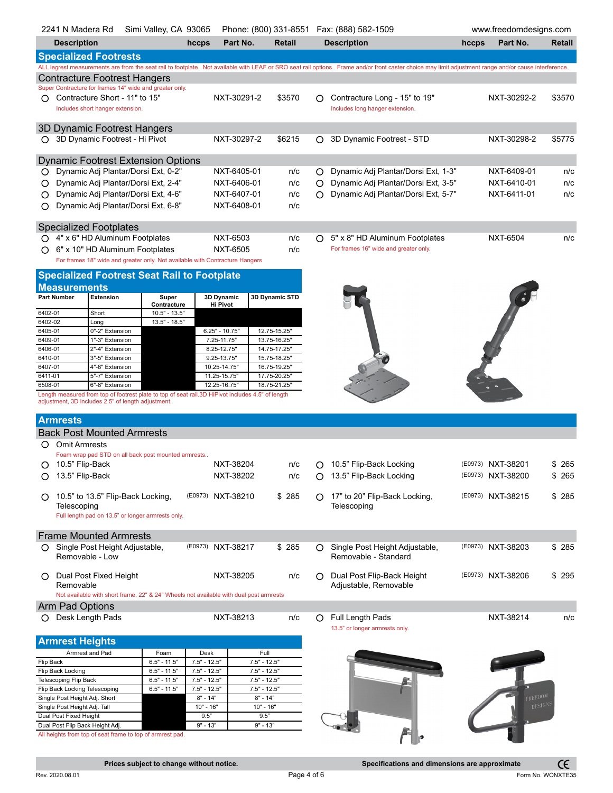|                                                                                                                                                        | Simi Valley, CA 93065<br>Phone: (800) 331-8551  Fax: (888) 582-1509<br>2241 N Madera Rd                                                                 |                                |                   |                            |                                     | www.freedomdesigns.com              |                                     |                                                                                                                                                                                                        |             |                   |        |
|--------------------------------------------------------------------------------------------------------------------------------------------------------|---------------------------------------------------------------------------------------------------------------------------------------------------------|--------------------------------|-------------------|----------------------------|-------------------------------------|-------------------------------------|-------------------------------------|--------------------------------------------------------------------------------------------------------------------------------------------------------------------------------------------------------|-------------|-------------------|--------|
|                                                                                                                                                        | <b>Description</b><br>Part No.<br>hccps<br>Retail                                                                                                       |                                |                   | <b>Description</b>         |                                     |                                     | Part No.<br>hccps                   | Retail                                                                                                                                                                                                 |             |                   |        |
|                                                                                                                                                        | <b>Specialized Footrests</b>                                                                                                                            |                                |                   |                            |                                     |                                     |                                     |                                                                                                                                                                                                        |             |                   |        |
|                                                                                                                                                        |                                                                                                                                                         |                                |                   |                            |                                     |                                     |                                     | ALL legrest measurements are from the seat rail to footplate. Not available with LEAF or SRO seat rail options. Frame and/or front caster choice may limit adjustment range and/or cause interference. |             |                   |        |
|                                                                                                                                                        | Contracture Footrest Hangers                                                                                                                            |                                |                   |                            |                                     |                                     |                                     |                                                                                                                                                                                                        |             |                   |        |
|                                                                                                                                                        | Super Contracture for frames 14" wide and greater only.                                                                                                 |                                |                   |                            |                                     |                                     |                                     |                                                                                                                                                                                                        |             |                   |        |
| $\circ$                                                                                                                                                | Contracture Short - 11" to 15"<br>Includes short hanger extension.                                                                                      |                                |                   | NXT-30291-2                |                                     | \$3570                              | O                                   | Contracture Long - 15" to 19"<br>Includes long hanger extension.                                                                                                                                       |             | NXT-30292-2       | \$3570 |
|                                                                                                                                                        |                                                                                                                                                         |                                |                   |                            |                                     |                                     |                                     |                                                                                                                                                                                                        |             |                   |        |
|                                                                                                                                                        | 3D Dynamic Footrest Hangers                                                                                                                             |                                |                   |                            |                                     |                                     |                                     |                                                                                                                                                                                                        |             |                   |        |
| O                                                                                                                                                      | 3D Dynamic Footrest - Hi Pivot                                                                                                                          |                                |                   | NXT-30297-2                |                                     | \$6215                              | O                                   | 3D Dynamic Footrest - STD                                                                                                                                                                              |             | NXT-30298-2       | \$5775 |
|                                                                                                                                                        |                                                                                                                                                         |                                |                   |                            |                                     |                                     |                                     |                                                                                                                                                                                                        |             |                   |        |
|                                                                                                                                                        | <b>Dynamic Footrest Extension Options</b>                                                                                                               |                                |                   |                            |                                     |                                     |                                     |                                                                                                                                                                                                        |             |                   |        |
| Ő                                                                                                                                                      | Dynamic Adj Plantar/Dorsi Ext, 0-2"<br>NXT-6405-01                                                                                                      |                                |                   |                            | n/c                                 | Ő                                   | Dynamic Adj Plantar/Dorsi Ext, 1-3" |                                                                                                                                                                                                        | NXT-6409-01 | n/c               |        |
| Dynamic Adj Plantar/Dorsi Ext, 2-4"<br>NXT-6406-01<br>O                                                                                                |                                                                                                                                                         |                                |                   | n/c                        | O                                   | Dynamic Adj Plantar/Dorsi Ext, 3-5" |                                     | NXT-6410-01                                                                                                                                                                                            | n/c         |                   |        |
| O                                                                                                                                                      | Dynamic Adj Plantar/Dorsi Ext, 4-6"<br>NXT-6407-01                                                                                                      |                                | n/c               | O                          | Dynamic Adj Plantar/Dorsi Ext, 5-7" |                                     | NXT-6411-01                         | n/c                                                                                                                                                                                                    |             |                   |        |
| O                                                                                                                                                      | Dynamic Adj Plantar/Dorsi Ext, 6-8"<br>NXT-6408-01                                                                                                      |                                | n/c               |                            |                                     |                                     |                                     |                                                                                                                                                                                                        |             |                   |        |
|                                                                                                                                                        |                                                                                                                                                         |                                |                   |                            |                                     |                                     |                                     |                                                                                                                                                                                                        |             |                   |        |
|                                                                                                                                                        | <b>Specialized Footplates</b>                                                                                                                           |                                |                   |                            |                                     |                                     |                                     |                                                                                                                                                                                                        |             |                   |        |
|                                                                                                                                                        | ○ 4" x 6" HD Aluminum Footplates                                                                                                                        |                                |                   | NXT-6503                   |                                     | n/c                                 | $\circ$                             | 5" x 8" HD Aluminum Footplates                                                                                                                                                                         |             | <b>NXT-6504</b>   | n/c    |
|                                                                                                                                                        | 6" x 10" HD Aluminum Footplates                                                                                                                         |                                |                   | NXT-6505                   |                                     | n/c                                 |                                     | For frames 16" wide and greater only.                                                                                                                                                                  |             |                   |        |
|                                                                                                                                                        | For frames 18" wide and greater only. Not available with Contracture Hangers                                                                            |                                |                   |                            |                                     |                                     |                                     |                                                                                                                                                                                                        |             |                   |        |
|                                                                                                                                                        | <b>Specialized Footrest Seat Rail to Footplate</b>                                                                                                      |                                |                   |                            |                                     |                                     |                                     |                                                                                                                                                                                                        |             |                   |        |
| <b>Measurements</b>                                                                                                                                    |                                                                                                                                                         |                                |                   |                            |                                     |                                     |                                     |                                                                                                                                                                                                        |             |                   |        |
| <b>Part Number</b>                                                                                                                                     | <b>Extension</b>                                                                                                                                        | Super                          |                   | 3D Dynamic                 |                                     | 3D Dynamic STD                      |                                     |                                                                                                                                                                                                        |             |                   |        |
| 6402-01                                                                                                                                                | Short                                                                                                                                                   | Contracture<br>$10.5" - 13.5"$ |                   | <b>Hi Pivot</b>            |                                     |                                     |                                     |                                                                                                                                                                                                        |             |                   |        |
| 6402-02                                                                                                                                                | Long                                                                                                                                                    | 13.5" - 18.5"                  |                   |                            |                                     |                                     |                                     |                                                                                                                                                                                                        |             |                   |        |
| 6405-01                                                                                                                                                | 0"-2" Extension                                                                                                                                         |                                |                   | $6.25" - 10.75'$           |                                     | 12.75-15.25"                        |                                     |                                                                                                                                                                                                        |             |                   |        |
| 6409-01                                                                                                                                                | 1"-3" Extension                                                                                                                                         |                                |                   | 7.25-11.75"                |                                     | 13.75-16.25"                        |                                     |                                                                                                                                                                                                        |             |                   |        |
| 6406-01<br>6410-01                                                                                                                                     | 2"-4" Extension<br>3"-5" Extension                                                                                                                      |                                |                   | 8.25-12.75"<br>9.25-13.75" |                                     | 14.75-17.25"<br>15.75-18.25"        |                                     |                                                                                                                                                                                                        |             |                   |        |
| 6407-01                                                                                                                                                | 4"-6" Extension                                                                                                                                         |                                |                   | 10.25-14.75"               |                                     | 16.75-19.25"                        |                                     |                                                                                                                                                                                                        |             |                   |        |
| 6411-01                                                                                                                                                | 5"-7" Extension                                                                                                                                         |                                |                   | 11.25-15.75"               |                                     | 17.75-20.25"                        |                                     |                                                                                                                                                                                                        |             |                   |        |
| 6508-01                                                                                                                                                | 6"-8" Extension                                                                                                                                         |                                |                   | 12.25-16.75"               |                                     | 18.75-21.25"                        |                                     |                                                                                                                                                                                                        |             |                   |        |
|                                                                                                                                                        | Length measured from top of footrest plate to top of seat rail.3D HiPivot includes 4.5" of length<br>adjustment, 3D includes 2.5" of length adjustment. |                                |                   |                            |                                     |                                     |                                     |                                                                                                                                                                                                        |             |                   |        |
|                                                                                                                                                        |                                                                                                                                                         |                                |                   |                            |                                     |                                     |                                     |                                                                                                                                                                                                        |             |                   |        |
| <b>Armrests</b>                                                                                                                                        |                                                                                                                                                         |                                |                   |                            |                                     |                                     |                                     |                                                                                                                                                                                                        |             |                   |        |
|                                                                                                                                                        | <b>Back Post Mounted Armrests</b>                                                                                                                       |                                |                   |                            |                                     |                                     |                                     |                                                                                                                                                                                                        |             |                   |        |
| O<br><b>Omit Armrests</b>                                                                                                                              |                                                                                                                                                         |                                |                   |                            |                                     |                                     |                                     |                                                                                                                                                                                                        |             |                   |        |
|                                                                                                                                                        | Foam wrap pad STD on all back post mounted armrests                                                                                                     |                                |                   |                            |                                     |                                     |                                     |                                                                                                                                                                                                        |             |                   |        |
| 10.5" Flip-Back<br>O                                                                                                                                   |                                                                                                                                                         |                                |                   | NXT-38204                  |                                     | n/c                                 | O                                   | 10.5" Flip-Back Locking                                                                                                                                                                                |             | (E0973) NXT-38201 | \$ 265 |
| 13.5" Flip-Back<br>Ő                                                                                                                                   |                                                                                                                                                         |                                |                   | NXT-38202                  |                                     | n/c                                 | O                                   | 13.5" Flip-Back Locking                                                                                                                                                                                |             | (E0973) NXT-38200 | \$265  |
|                                                                                                                                                        |                                                                                                                                                         |                                |                   |                            |                                     |                                     |                                     |                                                                                                                                                                                                        |             |                   |        |
| O                                                                                                                                                      | 10.5" to 13.5" Flip-Back Locking,                                                                                                                       |                                | (E0973) NXT-38210 |                            |                                     | \$285                               |                                     | 17" to 20" Flip-Back Locking,                                                                                                                                                                          |             | (E0973) NXT-38215 | \$285  |
| Telescoping                                                                                                                                            | Full length pad on 13.5" or longer armrests only.                                                                                                       |                                |                   |                            |                                     |                                     |                                     | Telescoping                                                                                                                                                                                            |             |                   |        |
|                                                                                                                                                        |                                                                                                                                                         |                                |                   |                            |                                     |                                     |                                     |                                                                                                                                                                                                        |             |                   |        |
|                                                                                                                                                        | <b>Frame Mounted Armrests</b>                                                                                                                           |                                |                   |                            |                                     |                                     |                                     |                                                                                                                                                                                                        |             |                   |        |
| O                                                                                                                                                      | Single Post Height Adjustable,                                                                                                                          |                                | (E0973) NXT-38217 |                            |                                     | \$285                               | O.                                  | Single Post Height Adjustable,                                                                                                                                                                         |             | (E0973) NXT-38203 | \$ 285 |
|                                                                                                                                                        | Removable - Low                                                                                                                                         |                                |                   |                            |                                     |                                     |                                     | Removable - Standard                                                                                                                                                                                   |             |                   |        |
|                                                                                                                                                        |                                                                                                                                                         |                                |                   |                            |                                     |                                     |                                     |                                                                                                                                                                                                        |             |                   |        |
|                                                                                                                                                        | Dual Post Fixed Height                                                                                                                                  |                                |                   | NXT-38205                  |                                     | n/c                                 |                                     | Dual Post Flip-Back Height                                                                                                                                                                             |             | (E0973) NXT-38206 | \$295  |
| Removable                                                                                                                                              |                                                                                                                                                         |                                |                   |                            |                                     |                                     |                                     | Adjustable, Removable                                                                                                                                                                                  |             |                   |        |
|                                                                                                                                                        | Not available with short frame. 22" & 24" Wheels not available with dual post armrests                                                                  |                                |                   |                            |                                     |                                     |                                     |                                                                                                                                                                                                        |             |                   |        |
| Arm Pad Options                                                                                                                                        |                                                                                                                                                         |                                |                   |                            |                                     |                                     |                                     |                                                                                                                                                                                                        |             |                   |        |
|                                                                                                                                                        | Desk Length Pads                                                                                                                                        |                                |                   | NXT-38213                  |                                     | n/c                                 | O                                   | Full Length Pads                                                                                                                                                                                       |             | NXT-38214         | n/c    |
|                                                                                                                                                        |                                                                                                                                                         |                                |                   |                            |                                     | 13.5" or longer armrests only.      |                                     |                                                                                                                                                                                                        |             |                   |        |
| <b>Armrest Heights</b>                                                                                                                                 |                                                                                                                                                         |                                |                   |                            |                                     |                                     |                                     |                                                                                                                                                                                                        |             |                   |        |
|                                                                                                                                                        | Armrest and Pad                                                                                                                                         | Foam                           | Desk              |                            | Full                                |                                     |                                     |                                                                                                                                                                                                        |             |                   |        |
| $6.5" - 11.5"$<br>$7.5" - 12.5"$<br>$7.5" - 12.5"$<br>Flip Back                                                                                        |                                                                                                                                                         |                                |                   |                            |                                     |                                     |                                     |                                                                                                                                                                                                        |             |                   |        |
| $7.5" - 12.5"$<br>$7.5" - 12.5"$<br>Flip Back Locking<br>$6.5" - 11.5"$<br>$6.5" - 11.5"$<br>$7.5" - 12.5"$<br>$7.5" - 12.5"$<br>Telescoping Flip Back |                                                                                                                                                         |                                |                   |                            |                                     |                                     |                                     |                                                                                                                                                                                                        |             |                   |        |
| Flip Back Locking Telescoping                                                                                                                          |                                                                                                                                                         | $6.5" - 11.5"$                 | $7.5" - 12.5"$    |                            | $7.5" - 12.5"$                      |                                     |                                     |                                                                                                                                                                                                        |             |                   |        |
| Single Post Height Adj. Short                                                                                                                          |                                                                                                                                                         |                                | $8" - 14"$        |                            | $8" - 14"$                          |                                     |                                     |                                                                                                                                                                                                        |             | REEDOM            |        |

Dual Post Flip Back Height Adj. No and November 13" 9" - 13" 9" - 13" All heights from top of seat frame to top of armrest pad.

Single Post Height Adj. Tall N/A 10 10 10 10 10 10 10 10 16 16 16 16 16 16 16 16 10 16 10 10 10 10 1 Dual Post Fixed Height National Research National Research National Research National Research National Research

A þ

 $\epsilon$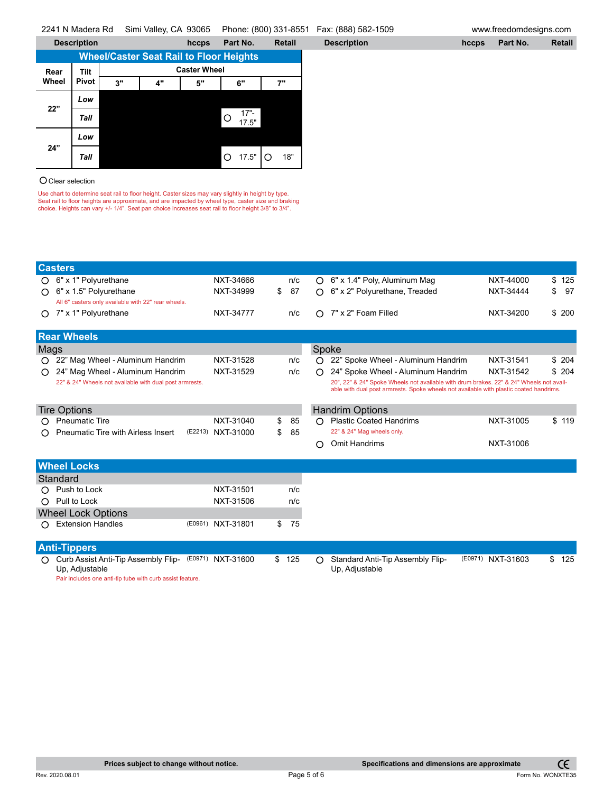|       | <b>Description</b> |    |    | hccps               | Part No.                                       | <b>Retail</b> | <b>Description</b> | hccps | Part No. | Retail |
|-------|--------------------|----|----|---------------------|------------------------------------------------|---------------|--------------------|-------|----------|--------|
|       |                    |    |    |                     | <b>Wheel/Caster Seat Rail to Floor Heights</b> |               |                    |       |          |        |
| Rear  | Tilt               |    |    | <b>Caster Wheel</b> |                                                |               |                    |       |          |        |
| Wheel | Pivot              | 3" | 4" | 5"                  | 6"                                             | 7"            |                    |       |          |        |
|       | Low                |    |    |                     |                                                |               |                    |       |          |        |
| 22"   | Tall               |    |    |                     | $17 -$<br> O<br>17.5"                          |               |                    |       |          |        |
|       | Low                |    |    |                     |                                                |               |                    |       |          |        |
| 24"   | Tall               |    |    |                     | ΙO<br>17.5"                                    | IО<br>18"     |                    |       |          |        |

## O Clear selection

Use chart to determine seat rail to floor height. Caster sizes may vary slightly in height by type.<br>Seat rail to floor heights are approximate, and are impacted by wheel type, caster size and braking<br>choice. Heights can v

|      | <b>Casters</b>                                                              |                   |           |       |                                                                                                                                                                                   |                   |           |
|------|-----------------------------------------------------------------------------|-------------------|-----------|-------|-----------------------------------------------------------------------------------------------------------------------------------------------------------------------------------|-------------------|-----------|
|      | 6" x 1" Polyurethane                                                        | NXT-34666         | n/c       | ∩     | 6" x 1.4" Poly, Aluminum Mag                                                                                                                                                      | NXT-44000         | \$<br>125 |
| ∩    | 6" x 1.5" Polyurethane                                                      | NXT-34999         | \$<br>87  | ∩     | 6" x 2" Polyurethane, Treaded                                                                                                                                                     | NXT-34444         | \$<br>97  |
|      | All 6" casters only available with 22" rear wheels.                         |                   |           |       |                                                                                                                                                                                   |                   |           |
|      | 7" x 1" Polyurethane                                                        | NXT-34777         | n/c       | ∩     | 7" x 2" Foam Filled                                                                                                                                                               | NXT-34200         | \$200     |
|      | <b>Rear Wheels</b>                                                          |                   |           |       |                                                                                                                                                                                   |                   |           |
| Mags |                                                                             |                   |           | Spoke |                                                                                                                                                                                   |                   |           |
|      | 22" Mag Wheel - Aluminum Handrim                                            | NXT-31528         | n/c       |       | 22" Spoke Wheel - Aluminum Handrim                                                                                                                                                | NXT-31541         | \$204     |
| ∩    | 24" Mag Wheel - Aluminum Handrim                                            | NXT-31529         | n/c       | ∩     | 24" Spoke Wheel - Aluminum Handrim                                                                                                                                                | NXT-31542         | \$204     |
|      | 22" & 24" Wheels not available with dual post armrests.                     |                   |           |       | 20", 22" & 24" Spoke Wheels not available with drum brakes. 22" & 24" Wheels not avail-<br>able with dual post armrests. Spoke wheels not available with plastic coated handrims. |                   |           |
|      |                                                                             |                   |           |       |                                                                                                                                                                                   |                   |           |
|      | <b>Tire Options</b>                                                         |                   |           |       | <b>Handrim Options</b>                                                                                                                                                            |                   |           |
|      | <b>Pneumatic Tire</b>                                                       | NXT-31040         | \$<br>85  | ∩     | <b>Plastic Coated Handrims</b>                                                                                                                                                    | NXT-31005         | \$119     |
|      | Pneumatic Tire with Airless Insert                                          | (E2213) NXT-31000 | \$<br>85  |       | 22" & 24" Mag wheels only.                                                                                                                                                        |                   |           |
|      |                                                                             |                   |           | ∩     | Omit Handrims                                                                                                                                                                     | NXT-31006         |           |
|      | <b>Wheel Locks</b>                                                          |                   |           |       |                                                                                                                                                                                   |                   |           |
|      | Standard                                                                    |                   |           |       |                                                                                                                                                                                   |                   |           |
|      | Push to Lock                                                                | NXT-31501         | n/c       |       |                                                                                                                                                                                   |                   |           |
| ∩    | Pull to Lock                                                                | NXT-31506         | n/c       |       |                                                                                                                                                                                   |                   |           |
|      | <b>Wheel Lock Options</b>                                                   |                   |           |       |                                                                                                                                                                                   |                   |           |
|      | <b>Extension Handles</b>                                                    | (E0961) NXT-31801 | \$<br>75  |       |                                                                                                                                                                                   |                   |           |
|      |                                                                             |                   |           |       |                                                                                                                                                                                   |                   |           |
|      | <b>Anti-Tippers</b>                                                         |                   |           |       |                                                                                                                                                                                   |                   |           |
|      | Curb Assist Anti-Tip Assembly Flip-                                         | (E0971) NXT-31600 | \$<br>125 | O     | Standard Anti-Tip Assembly Flip-                                                                                                                                                  | (E0971) NXT-31603 | \$<br>125 |
|      | Up, Adjustable<br>Pair includes one anti-tip tube with curb assist feature. |                   |           |       | Up, Adjustable                                                                                                                                                                    |                   |           |